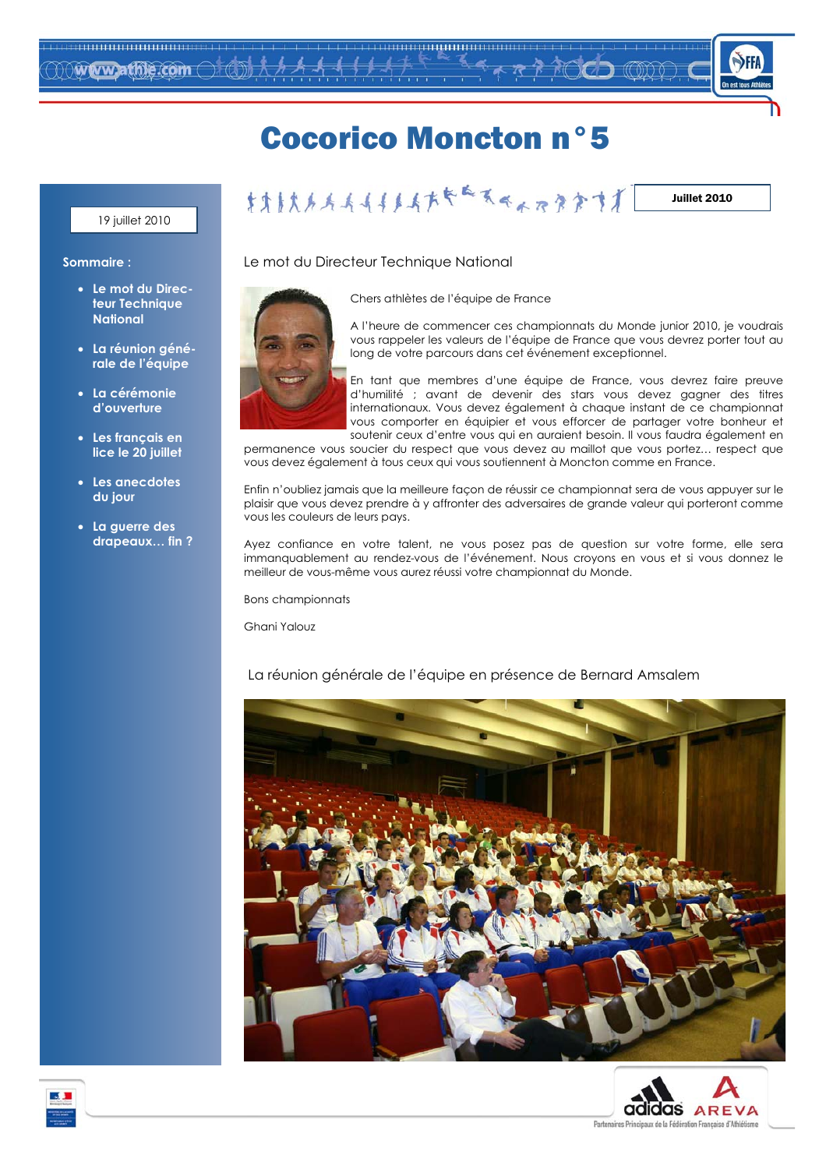

## **Cocorico Moncton nº5**

#### 19 juillet 2010

#### Juillet 2010

#### Sommaire:

- · Le mot du Directeur Technique **National**
- · La réunion générale de l'équipe
- · La cérémonie d'ouverture
- · Les français en lice le 20 juillet
- Les anecdotes du jour
- La guerre des drapeaux... fin?

Le mot du Directeur Technique National



A l'heure de commencer ces championnats du Monde junior 2010, je voudrais

vous rappeler les valeurs de l'équipe de France que vous devrez porter tout au long de votre parcours dans cet événement exceptionnel.

En tant que membres d'une équipe de France, vous devrez faire preuve d'humilité ; avant de devenir des stars vous devez gagner des titres internationaux. Vous devez également à chaque instant de ce championnat vous comporter en équipier et vous efforcer de partager votre bonheur et soutenir ceux d'entre vous qui en auraient besoin. Il vous faudra également en

permanence vous soucier du respect que vous devez au maillot que vous portez... respect que vous devez également à tous ceux qui vous soutiennent à Moncton comme en France.

Enfin n'oubliez jamais que la meilleure façon de réussir ce championnat sera de vous appuyer sur le plaisir que vous devez prendre à y affronter des adversaires de grande valeur qui porteront comme vous les couleurs de leurs pays.

Ayez confiance en votre talent, ne vous posez pas de question sur votre forme, elle sera immanauablement au rendez-vous de l'événement. Nous croyons en vous et si vous donnez le meilleur de vous-même vous aurez réussi votre championnat du Monde.

**Bons championnats** 

Ghani Yalouz

#### La réunion générale de l'équipe en présence de Bernard Amsalem





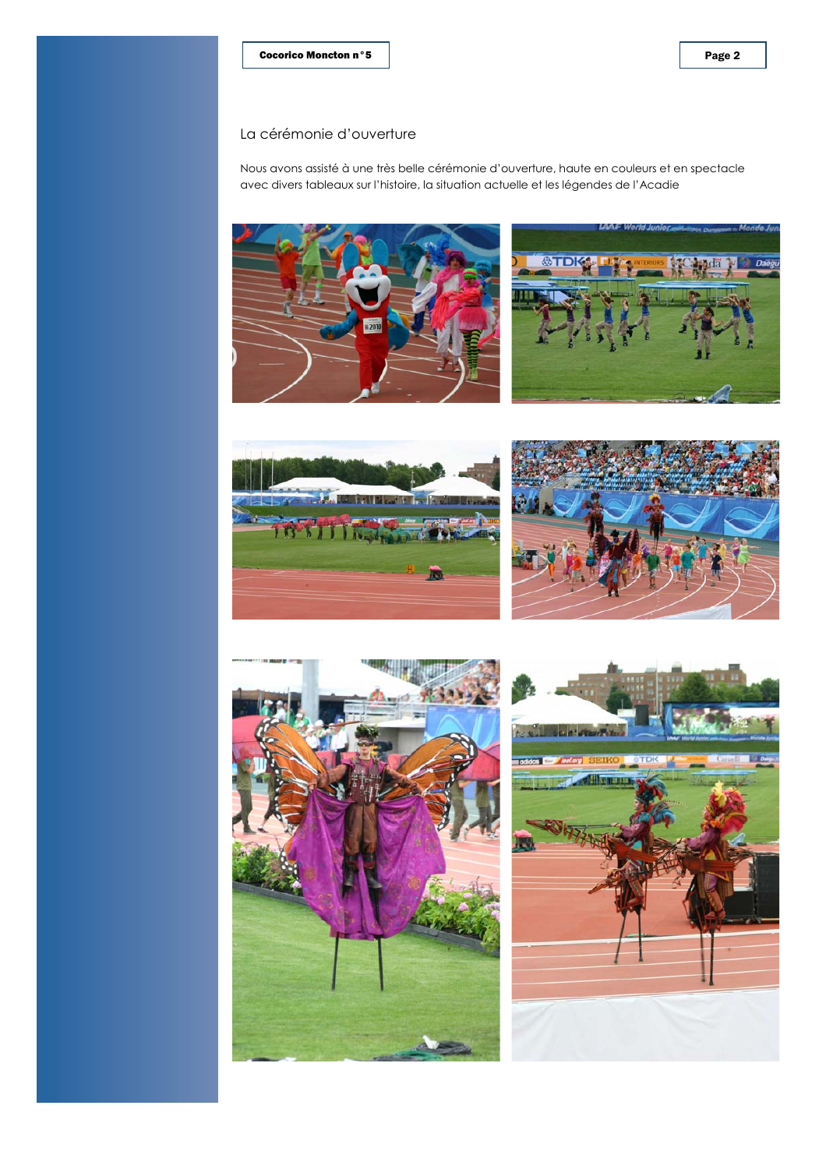Nous avons assisté à une très belle cérémonie d'ouverture, haute en couleurs et en spectacle avec divers tableaux sur l'histoire, la situation actuelle et les légendes de l'Acadie











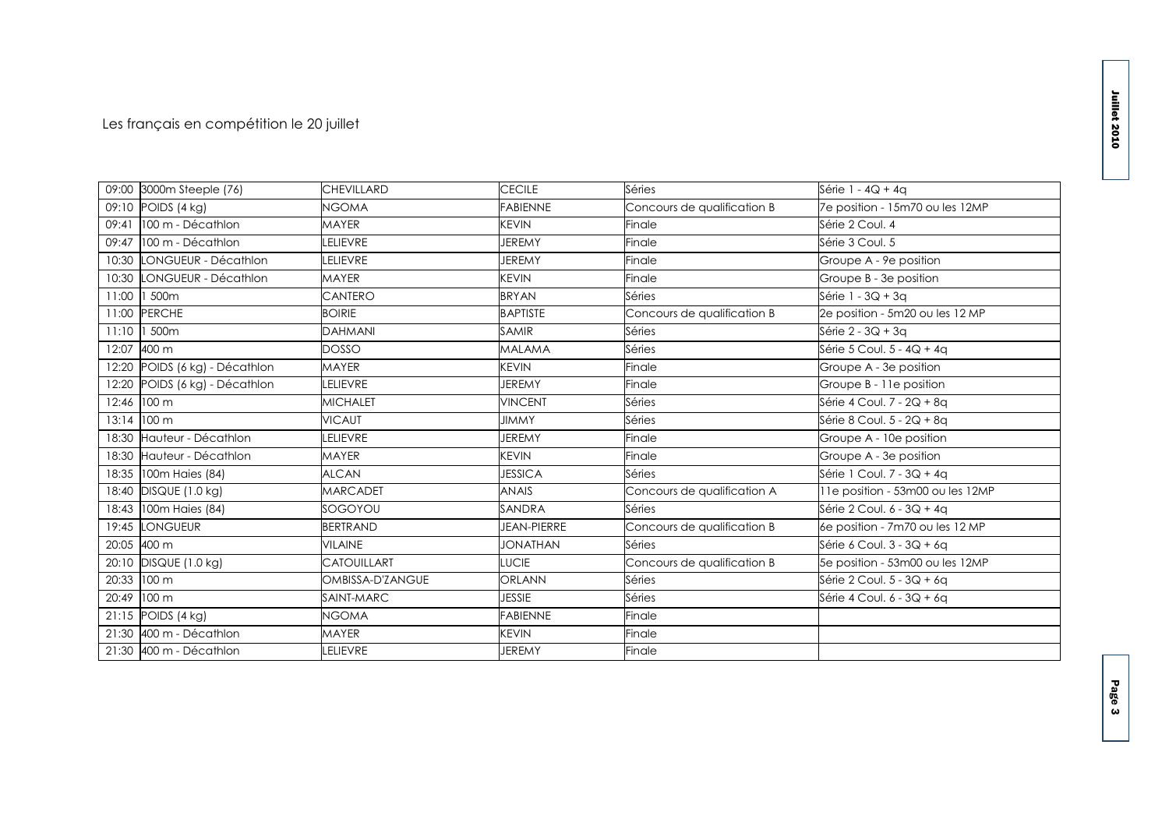### Les français en compétition le 20 juillet

|       | 09:00 3000m Steeple (76)       | <b>CHEVILLARD</b>  | <b>CECILE</b>      | Séries                      | Série 1 - 4Q + 4q                |
|-------|--------------------------------|--------------------|--------------------|-----------------------------|----------------------------------|
|       | 09:10 POIDS (4 kg)             | NGOMA              | <b>FABIENNE</b>    | Concours de qualification B | 7e position - 15m70 ou les 12MP  |
|       | 09:41 100 m - Décathlon        | <b>MAYER</b>       | <b>KEVIN</b>       | Finale                      | Série 2 Coul. 4                  |
|       | 09:47 100 m - Décathlon        | LELIEVRE           | <b>JEREMY</b>      | Finale                      | Série 3 Coul, 5                  |
|       | 10:30 LONGUEUR - Décathlon     | LELIEVRE           | <b>JEREMY</b>      | Finale                      | Groupe A - 9e position           |
|       | 10:30 LONGUEUR - Décathlon     | <b>MAYER</b>       | <b>KEVIN</b>       | Finale                      | Groupe B - 3e position           |
|       | 11:00 1 500m                   | CANTERO            | <b>BRYAN</b>       | Séries                      | Série 1 - 3Q + 3q                |
|       | 11:00 PERCHE                   | <b>BOIRIE</b>      | <b>BAPTISTE</b>    | Concours de qualification B | 2e position - 5m20 ou les 12 MP  |
|       | 11:10 1 500m                   | <b>DAHMANI</b>     | <b>SAMIR</b>       | Séries                      | Série 2 - 3Q + 3q                |
| 12:07 | 400 m                          | <b>DOSSO</b>       | <b>MALAMA</b>      | Séries                      | Série 5 Coul. 5 - 4Q + 4q        |
|       | 12:20 POIDS (6 kg) - Décathlon | <b>MAYER</b>       | <b>KEVIN</b>       | Finale                      | Groupe A - 3e position           |
| 12:20 | POIDS (6 kg) - Décathlon       | LELIEVRE           | <b>JEREMY</b>      | Finale                      | Groupe B - 11e position          |
|       | 12:46 100 m                    | <b>MICHALET</b>    | <b>VINCENT</b>     | Séries                      | Série 4 Coul. 7 - 2Q + 8q        |
|       | 13:14 100 m                    | <b>VICAUT</b>      | <b>JIMMY</b>       | Séries                      | Série 8 Coul, 5 - 2Q + 8a        |
|       | 18:30 Hauteur - Décathlon      | LELIEVRE           | <b>JEREMY</b>      | Finale                      | Groupe A - 10e position          |
|       | 18:30 Hauteur - Décathlon      | <b>MAYER</b>       | <b>KEVIN</b>       | Finale                      | Groupe A - 3e position           |
|       | 18:35 100m Haies (84)          | <b>ALCAN</b>       | <b>JESSICA</b>     | Séries                      | Série 1 Coul. 7 - 3Q + 4q        |
| 18:40 | DISQUE (1.0 kg)                | <b>MARCADET</b>    | <b>ANAIS</b>       | Concours de qualification A | 11e position - 53m00 ou les 12MP |
|       | 18:43 100m Haies (84)          | SOGOYOU            | SANDRA             | Séries                      | Série 2 Coul, 6 - 3Q + 4a        |
|       | 19:45 LONGUEUR                 | <b>BERTRAND</b>    | <b>JEAN-PIERRE</b> | Concours de qualification B | 6e position - 7m70 ou les 12 MP  |
|       | 20:05 400 m                    | <b>VILAINE</b>     | <b>JONATHAN</b>    | Séries                      | Série 6 Coul. 3 - 3Q + 6q        |
|       | 20:10 DISQUE (1.0 kg)          | <b>CATOUILLART</b> | <b>LUCIE</b>       | Concours de qualification B | 5e position - 53m00 ou les 12MP  |
|       | 20:33 100 m                    | OMBISSA-D'ZANGUE   | <b>ORLANN</b>      | Séries                      | Série 2 Coul. 5 - 3Q + 6q        |
|       | 20:49 100 m                    | SAINT-MARC         | <b>JESSIE</b>      | Séries                      | Série 4 Coul. 6 - 3Q + 6q        |
|       | 21:15 POIDS (4 kg)             | NGOMA              | <b>FABIENNE</b>    | Finale                      |                                  |
|       | 21:30 400 m - Décathlon        | <b>MAYER</b>       | <b>KEVIN</b>       | Finale                      |                                  |
|       | 21:30 400 m - Décathlon        | LELIEVRE           | <b>JEREMY</b>      | Finale                      |                                  |
|       |                                |                    |                    |                             |                                  |